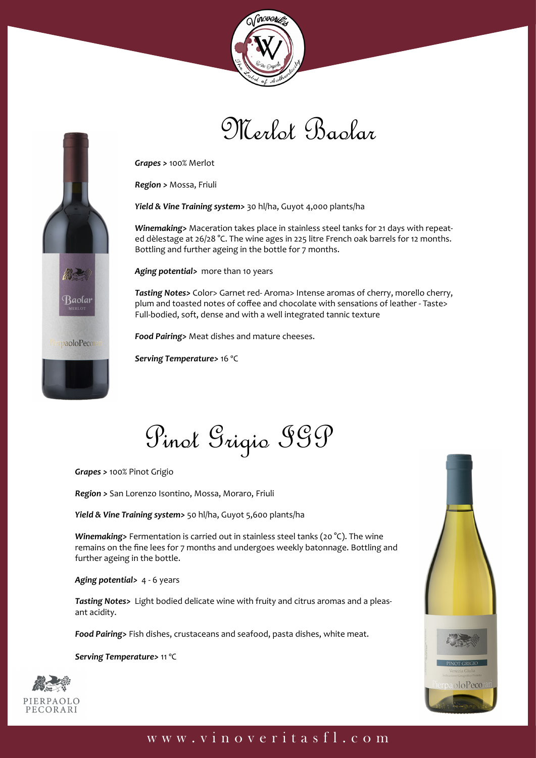





*Region >* Mossa, Friuli

*Yield & Vine Training system>* 30 hl/ha, Guyot 4,000 plants/ha

*Winemaking>* Maceration takes place in stainless steel tanks for 21 days with repeated dèlestage at 26/28 °C. The wine ages in 225 litre French oak barrels for 12 months. Bottling and further ageing in the bottle for 7 months.

*Aging potential>* more than 10 years

*Tasting Notes>* Color> Garnet red- Aroma> Intense aromas of cherry, morello cherry, plum and toasted notes of coffee and chocolate with sensations of leather - Taste> Full-bodied, soft, dense and with a well integrated tannic texture

*Food Pairing>* Meat dishes and mature cheeses.

*Serving Temperature>* 16 ºC

Pinot Grigio IGP

*Grapes >* 100% Pinot Grigio

Baolar

paoloPecor

*Region >* San Lorenzo Isontino, Mossa, Moraro, Friuli

*Yield & Vine Training system>* 50 hl/ha, Guyot 5,600 plants/ha

*Winemaking>* Fermentation is carried out in stainless steel tanks (20 °C). The wine remains on the fine lees for 7 months and undergoes weekly batonnage. Bottling and further ageing in the bottle.

*Aging potential>* 4 - 6 years

*Tasting Notes>* Light bodied delicate wine with fruity and citrus aromas and a pleasant acidity.

*Food Pairing>* Fish dishes, crustaceans and seafood, pasta dishes, white meat.

*Serving Temperature>* 11 ºC



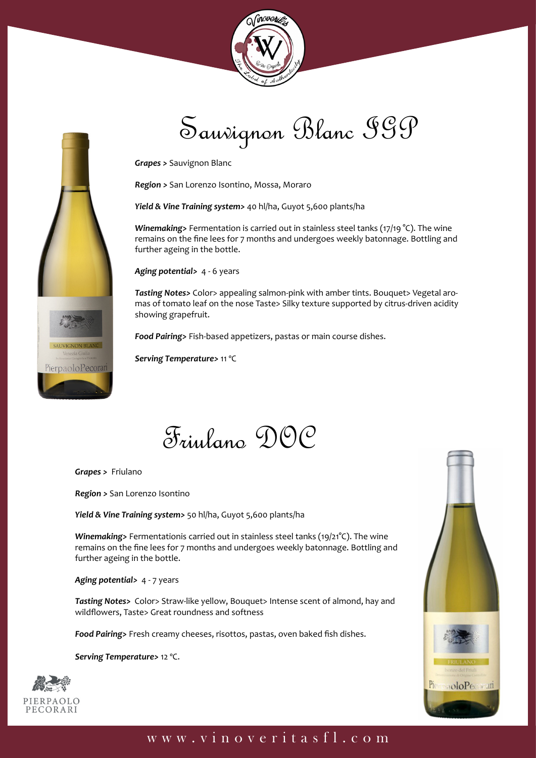



# Sauvignon Blanc IGP

*Grapes >* Sauvignon Blanc

*Region >* San Lorenzo Isontino, Mossa, Moraro

*Yield & Vine Training system>* 40 hl/ha, Guyot 5,600 plants/ha

*Winemaking>* Fermentation is carried out in stainless steel tanks (17/19 °C). The wine remains on the fine lees for 7 months and undergoes weekly batonnage. Bottling and further ageing in the bottle.

*Aging potential>* 4 - 6 years

**Tasting Notes>** Color> appealing salmon-pink with amber tints. Bouquet> Vegetal aromas of tomato leaf on the nose Taste> Silky texture supported by citrus-driven acidity showing grapefruit.

*Food Pairing>* Fish-based appetizers, pastas or main course dishes.

*Serving Temperature>* 11 ºC

Friulano DOC

*Grapes >* Friulano

*Region >* San Lorenzo Isontino

*Yield & Vine Training system>* 50 hl/ha, Guyot 5,600 plants/ha

*Winemaking>* Fermentationis carried out in stainless steel tanks (19/21°C). The wine remains on the fine lees for 7 months and undergoes weekly batonnage. Bottling and further ageing in the bottle.

*Aging potential>* 4 - 7 years

*Tasting Notes>* Color> Straw-like yellow, Bouquet> Intense scent of almond, hay and wildflowers, Taste> Great roundness and softness

*Food Pairing>* Fresh creamy cheeses, risottos, pastas, oven baked fish dishes.

*Serving Temperature>* 12 ºC.



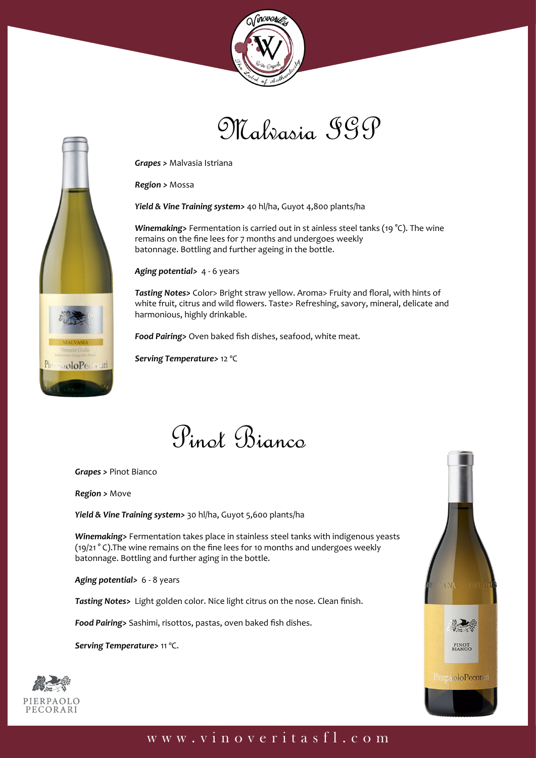





*Grapes >* Malvasia Istriana

*Region >* Mossa

*Yield & Vine Training system>* 40 hl/ha, Guyot 4,800 plants/ha

*Winemaking>* Fermentation is carried out in st ainless steel tanks (19 °C). The wine remains on the fine lees for 7 months and undergoes weekly batonnage. Bottling and further ageing in the bottle.

*Aging potential>* 4 - 6 years

*Tasting Notes>* Color> Bright straw yellow. Aroma> Fruity and floral, with hints of white fruit, citrus and wild flowers. Taste> Refreshing, savory, mineral, delicate and harmonious, highly drinkable.

*Food Pairing>* Oven baked fish dishes, seafood, white meat.

*Serving Temperature>* 12 ºC



*Grapes >* Pinot Bianco

*Region >* Move

*Yield & Vine Training system>* 30 hl/ha, Guyot 5,600 plants/ha

*Winemaking>* Fermentation takes place in stainless steel tanks with indigenous yeasts (19/21 ° C).The wine remains on the fine lees for 10 months and undergoes weekly batonnage. Bottling and further aging in the bottle.

*Aging potential>* 6 - 8 years

*Tasting Notes>* Light golden color. Nice light citrus on the nose. Clean finish.

*Food Pairing>* Sashimi, risottos, pastas, oven baked fish dishes.

*Serving Temperature>* 11 ºC.



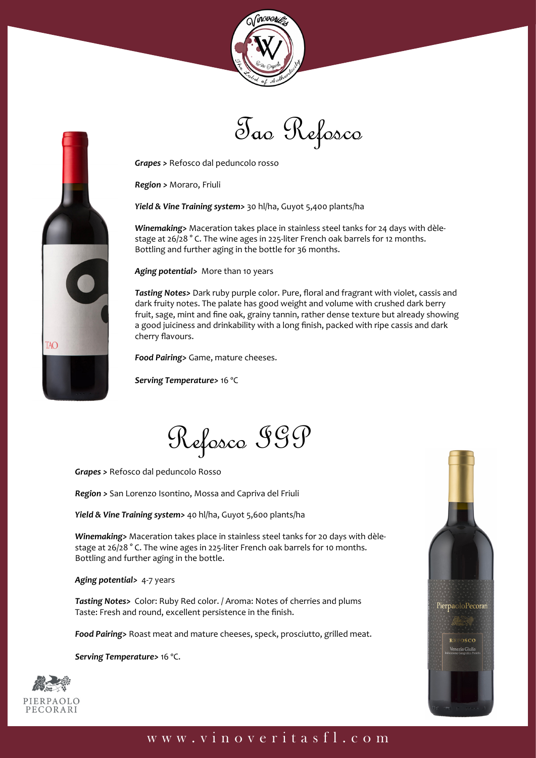



*Grapes >* Refosco dal peduncolo rosso

*Region >* Moraro, Friuli

*Yield & Vine Training system>* 30 hl/ha, Guyot 5,400 plants/ha

*Winemaking>* Maceration takes place in stainless steel tanks for 24 days with dèlestage at 26/28 ° C. The wine ages in 225-liter French oak barrels for 12 months. Bottling and further aging in the bottle for 36 months.

*Aging potential>* More than 10 years

*Tasting Notes>* Dark ruby purple color. Pure, floral and fragrant with violet, cassis and dark fruity notes. The palate has good weight and volume with crushed dark berry fruit, sage, mint and fine oak, grainy tannin, rather dense texture but already showing a good juiciness and drinkability with a long finish, packed with ripe cassis and dark cherry flavours.

*Food Pairing>* Game, mature cheeses.

*Serving Temperature>* 16 ºC

Refosco IGP

*Grapes >* Refosco dal peduncolo Rosso

*Region >* San Lorenzo Isontino, Mossa and Capriva del Friuli

*Yield & Vine Training system>* 40 hl/ha, Guyot 5,600 plants/ha

*Winemaking>* Maceration takes place in stainless steel tanks for 20 days with dèlestage at 26/28 ° C. The wine ages in 225-liter French oak barrels for 10 months. Bottling and further aging in the bottle.

*Aging potential>* 4-7 years

*Tasting Notes>* Color: Ruby Red color. / Aroma: Notes of cherries and plums Taste: Fresh and round, excellent persistence in the finish.

*Food Pairing>* Roast meat and mature cheeses, speck, prosciutto, grilled meat.

*Serving Temperature>* 16 ºC.



TAO